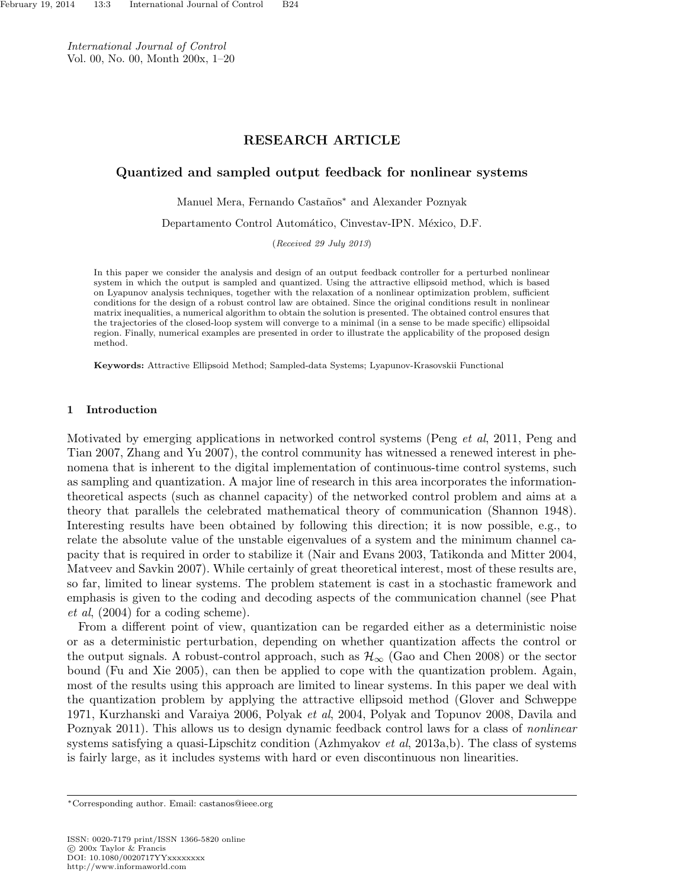International Journal of Control Vol. 00, No. 00, Month 200x, 1–20

# RESEARCH ARTICLE

# Quantized and sampled output feedback for nonlinear systems

Manuel Mera, Fernando Castaños<sup>∗</sup> and Alexander Poznyak

Departamento Control Automático, Cinvestav-IPN. México, D.F.

(Received 29 July 2013)

In this paper we consider the analysis and design of an output feedback controller for a perturbed nonlinear system in which the output is sampled and quantized. Using the attractive ellipsoid method, which is based on Lyapunov analysis techniques, together with the relaxation of a nonlinear optimization problem, sufficient conditions for the design of a robust control law are obtained. Since the original conditions result in nonlinear matrix inequalities, a numerical algorithm to obtain the solution is presented. The obtained control ensures that the trajectories of the closed-loop system will converge to a minimal (in a sense to be made specific) ellipsoidal region. Finally, numerical examples are presented in order to illustrate the applicability of the proposed design method.

Keywords: Attractive Ellipsoid Method; Sampled-data Systems; Lyapunov-Krasovskii Functional

## 1 Introduction

Motivated by emerging applications in networked control systems (Peng et al, 2011, Peng and Tian 2007, Zhang and Yu 2007), the control community has witnessed a renewed interest in phenomena that is inherent to the digital implementation of continuous-time control systems, such as sampling and quantization. A major line of research in this area incorporates the informationtheoretical aspects (such as channel capacity) of the networked control problem and aims at a theory that parallels the celebrated mathematical theory of communication (Shannon 1948). Interesting results have been obtained by following this direction; it is now possible, e.g., to relate the absolute value of the unstable eigenvalues of a system and the minimum channel capacity that is required in order to stabilize it (Nair and Evans 2003, Tatikonda and Mitter 2004, Matveev and Savkin 2007). While certainly of great theoretical interest, most of these results are, so far, limited to linear systems. The problem statement is cast in a stochastic framework and emphasis is given to the coding and decoding aspects of the communication channel (see Phat et al, (2004) for a coding scheme).

From a different point of view, quantization can be regarded either as a deterministic noise or as a deterministic perturbation, depending on whether quantization affects the control or the output signals. A robust-control approach, such as  $\mathcal{H}_{\infty}$  (Gao and Chen 2008) or the sector bound (Fu and Xie 2005), can then be applied to cope with the quantization problem. Again, most of the results using this approach are limited to linear systems. In this paper we deal with the quantization problem by applying the attractive ellipsoid method (Glover and Schweppe 1971, Kurzhanski and Varaiya 2006, Polyak et al, 2004, Polyak and Topunov 2008, Davila and Poznyak 2011). This allows us to design dynamic feedback control laws for a class of *nonlinear* systems satisfying a quasi-Lipschitz condition (Azhmyakov *et al*, 2013a,b). The class of systems is fairly large, as it includes systems with hard or even discontinuous non linearities.

<sup>∗</sup>Corresponding author. Email: castanos@ieee.org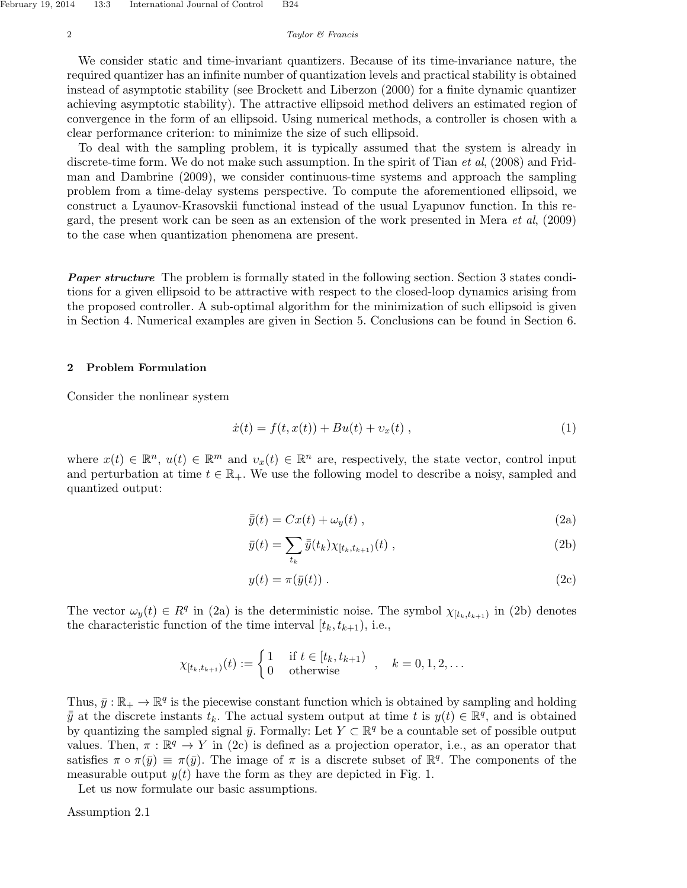We consider static and time-invariant quantizers. Because of its time-invariance nature, the required quantizer has an infinite number of quantization levels and practical stability is obtained instead of asymptotic stability (see Brockett and Liberzon (2000) for a finite dynamic quantizer achieving asymptotic stability). The attractive ellipsoid method delivers an estimated region of convergence in the form of an ellipsoid. Using numerical methods, a controller is chosen with a clear performance criterion: to minimize the size of such ellipsoid.

To deal with the sampling problem, it is typically assumed that the system is already in discrete-time form. We do not make such assumption. In the spirit of Tian *et al.* (2008) and Fridman and Dambrine (2009), we consider continuous-time systems and approach the sampling problem from a time-delay systems perspective. To compute the aforementioned ellipsoid, we construct a Lyaunov-Krasovskii functional instead of the usual Lyapunov function. In this regard, the present work can be seen as an extension of the work presented in Mera et al, (2009) to the case when quantization phenomena are present.

**Paper structure** The problem is formally stated in the following section. Section 3 states conditions for a given ellipsoid to be attractive with respect to the closed-loop dynamics arising from the proposed controller. A sub-optimal algorithm for the minimization of such ellipsoid is given in Section 4. Numerical examples are given in Section 5. Conclusions can be found in Section 6.

## 2 Problem Formulation

Consider the nonlinear system

$$
\dot{x}(t) = f(t, x(t)) + Bu(t) + v_x(t) , \qquad (1)
$$

where  $x(t) \in \mathbb{R}^n$ ,  $u(t) \in \mathbb{R}^m$  and  $v_x(t) \in \mathbb{R}^n$  are, respectively, the state vector, control input and perturbation at time  $t \in \mathbb{R}_+$ . We use the following model to describe a noisy, sampled and quantized output:

$$
\bar{y}(t) = Cx(t) + \omega_y(t) , \qquad (2a)
$$

$$
\bar{y}(t) = \sum_{t_k} \bar{\bar{y}}(t_k) \chi_{[t_k, t_{k+1})}(t) , \qquad (2b)
$$

$$
y(t) = \pi(\bar{y}(t)) . \tag{2c}
$$

The vector  $\omega_y(t) \in R^q$  in (2a) is the deterministic noise. The symbol  $\chi_{[t_k,t_{k+1})}$  in (2b) denotes the characteristic function of the time interval  $[t_k, t_{k+1}),$  i.e.,

$$
\chi_{[t_k,t_{k+1})}(t) := \begin{cases} 1 & \text{if } t \in [t_k, t_{k+1}) \\ 0 & \text{otherwise} \end{cases}, \quad k = 0, 1, 2, \dots
$$

Thus,  $\bar{y}: \mathbb{R}_+ \to \mathbb{R}^q$  is the piecewise constant function which is obtained by sampling and holding  $\bar{y}$  at the discrete instants  $t_k$ . The actual system output at time t is  $y(t) \in \mathbb{R}^q$ , and is obtained by quantizing the sampled signal  $\bar{y}$ . Formally: Let  $Y \subset \mathbb{R}^q$  be a countable set of possible output values. Then,  $\pi : \mathbb{R}^q \to Y$  in (2c) is defined as a projection operator, i.e., as an operator that satisfies  $\pi \circ \pi(\bar{y}) \equiv \pi(\bar{y})$ . The image of  $\pi$  is a discrete subset of  $\mathbb{R}^q$ . The components of the measurable output  $y(t)$  have the form as they are depicted in Fig. 1.

Let us now formulate our basic assumptions.

Assumption 2.1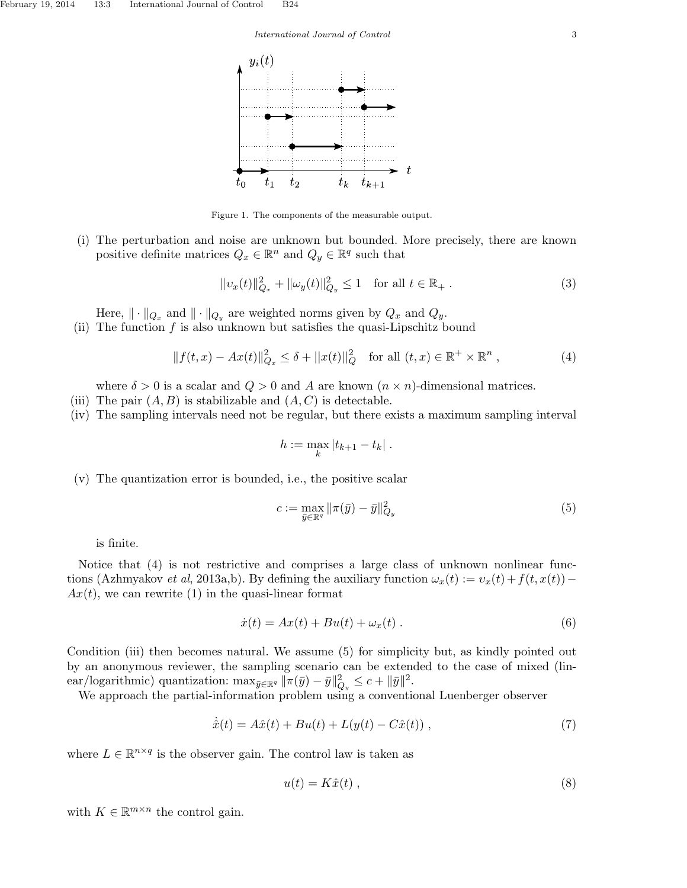#### International Journal of Control 3



Figure 1. The components of the measurable output.

(i) The perturbation and noise are unknown but bounded. More precisely, there are known positive definite matrices  $Q_x \in \mathbb{R}^n$  and  $Q_y \in \mathbb{R}^q$  such that

$$
||v_x(t)||_{Q_x}^2 + ||\omega_y(t)||_{Q_y}^2 \le 1 \quad \text{for all } t \in \mathbb{R}_+ \,. \tag{3}
$$

Here,  $\|\cdot\|_{Q_x}$  and  $\|\cdot\|_{Q_y}$  are weighted norms given by  $Q_x$  and  $Q_y$ .

(ii) The function  $f$  is also unknown but satisfies the quasi-Lipschitz bound

$$
||f(t,x) - Ax(t)||_{Q_x}^2 \le \delta + ||x(t)||_Q^2 \quad \text{for all } (t,x) \in \mathbb{R}^+ \times \mathbb{R}^n ,
$$
 (4)

where  $\delta > 0$  is a scalar and  $Q > 0$  and A are known  $(n \times n)$ -dimensional matrices.

- (iii) The pair  $(A, B)$  is stabilizable and  $(A, C)$  is detectable.
- (iv) The sampling intervals need not be regular, but there exists a maximum sampling interval

$$
h := \max_{k} |t_{k+1} - t_k|.
$$

(v) The quantization error is bounded, i.e., the positive scalar

$$
c := \max_{\bar{y} \in \mathbb{R}^q} \|\pi(\bar{y}) - \bar{y}\|_{Q_y}^2 \tag{5}
$$

is finite.

Notice that (4) is not restrictive and comprises a large class of unknown nonlinear functions (Azhmyakov et al, 2013a,b). By defining the auxiliary function  $\omega_x(t) := v_x(t) + f(t, x(t)) Ax(t)$ , we can rewrite (1) in the quasi-linear format

$$
\dot{x}(t) = Ax(t) + Bu(t) + \omega_x(t) . \qquad (6)
$$

Condition (iii) then becomes natural. We assume (5) for simplicity but, as kindly pointed out by an anonymous reviewer, the sampling scenario can be extended to the case of mixed (linear/logarithmic) quantization:  $\max_{\bar{y}\in\mathbb{R}^q} \|\pi(\bar{y}) - \bar{y}\|_{Q_y}^2 \leq c + \|\bar{y}\|^2$ .

We approach the partial-information problem using a conventional Luenberger observer

$$
\dot{\hat{x}}(t) = A\hat{x}(t) + Bu(t) + L(y(t) - C\hat{x}(t)),
$$
\n(7)

where  $L \in \mathbb{R}^{n \times q}$  is the observer gain. The control law is taken as

$$
u(t) = K\hat{x}(t) \t{,} \t(8)
$$

with  $K \in \mathbb{R}^{m \times n}$  the control gain.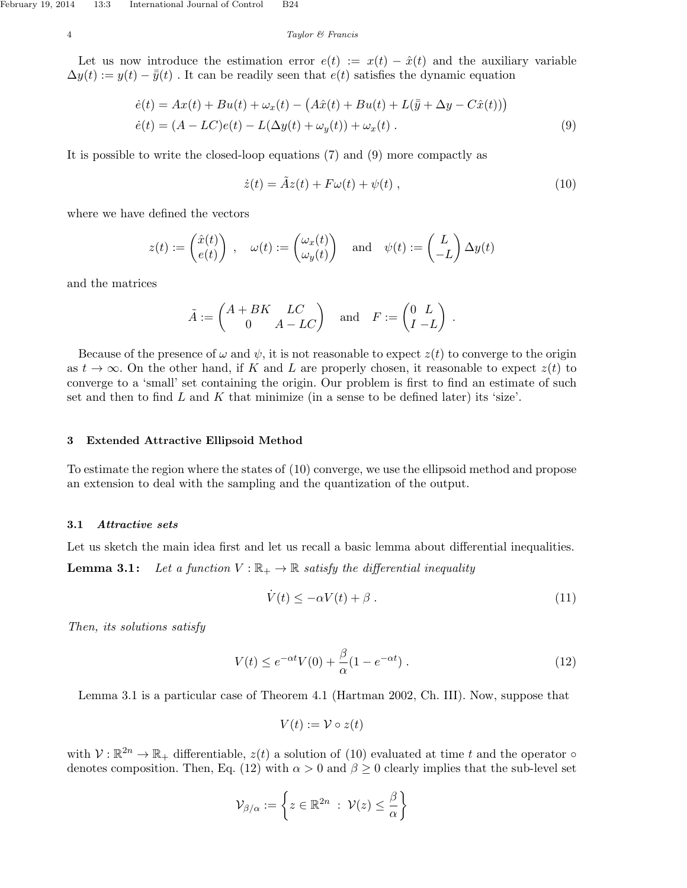Let us now introduce the estimation error  $e(t) := x(t) - \hat{x}(t)$  and the auxiliary variable  $\Delta y(t) := y(t) - \bar{y}(t)$ . It can be readily seen that  $e(t)$  satisfies the dynamic equation

$$
\dot{e}(t) = Ax(t) + Bu(t) + \omega_x(t) - \left(A\hat{x}(t) + Bu(t) + L(\bar{y} + \Delta y - C\hat{x}(t))\right)
$$
  
\n
$$
\dot{e}(t) = (A - LC)e(t) - L(\Delta y(t) + \omega_y(t)) + \omega_x(t).
$$
\n(9)

It is possible to write the closed-loop equations (7) and (9) more compactly as

$$
\dot{z}(t) = \tilde{A}z(t) + F\omega(t) + \psi(t) , \qquad (10)
$$

where we have defined the vectors

$$
z(t) := \begin{pmatrix} \hat{x}(t) \\ e(t) \end{pmatrix} , \quad \omega(t) := \begin{pmatrix} \omega_x(t) \\ \omega_y(t) \end{pmatrix} \quad \text{and} \quad \psi(t) := \begin{pmatrix} L \\ -L \end{pmatrix} \Delta y(t)
$$

and the matrices

$$
\tilde{A} := \begin{pmatrix} A + BK & LC \\ 0 & A - LC \end{pmatrix} \text{ and } F := \begin{pmatrix} 0 & L \\ I & -L \end{pmatrix}.
$$

Because of the presence of  $\omega$  and  $\psi$ , it is not reasonable to expect  $z(t)$  to converge to the origin as  $t \to \infty$ . On the other hand, if K and L are properly chosen, it reasonable to expect  $z(t)$  to converge to a 'small' set containing the origin. Our problem is first to find an estimate of such set and then to find  $L$  and  $K$  that minimize (in a sense to be defined later) its 'size'.

## 3 Extended Attractive Ellipsoid Method

To estimate the region where the states of (10) converge, we use the ellipsoid method and propose an extension to deal with the sampling and the quantization of the output.

## 3.1 Attractive sets

Let us sketch the main idea first and let us recall a basic lemma about differential inequalities. **Lemma 3.1:** Let a function  $V : \mathbb{R}_+ \to \mathbb{R}$  satisfy the differential inequality

$$
\dot{V}(t) \le -\alpha V(t) + \beta \tag{11}
$$

Then, its solutions satisfy

$$
V(t) \le e^{-\alpha t} V(0) + \frac{\beta}{\alpha} (1 - e^{-\alpha t}). \tag{12}
$$

Lemma 3.1 is a particular case of Theorem 4.1 (Hartman 2002, Ch. III). Now, suppose that

$$
V(t) := \mathcal{V} \circ z(t)
$$

with  $V: \mathbb{R}^{2n} \to \mathbb{R}_+$  differentiable,  $z(t)$  a solution of (10) evaluated at time t and the operator  $\circ$ denotes composition. Then, Eq. (12) with  $\alpha > 0$  and  $\beta \ge 0$  clearly implies that the sub-level set

$$
\mathcal{V}_{\beta/\alpha} := \left\{ z \in \mathbb{R}^{2n} \ : \ \mathcal{V}(z) \leq \frac{\beta}{\alpha} \right\}
$$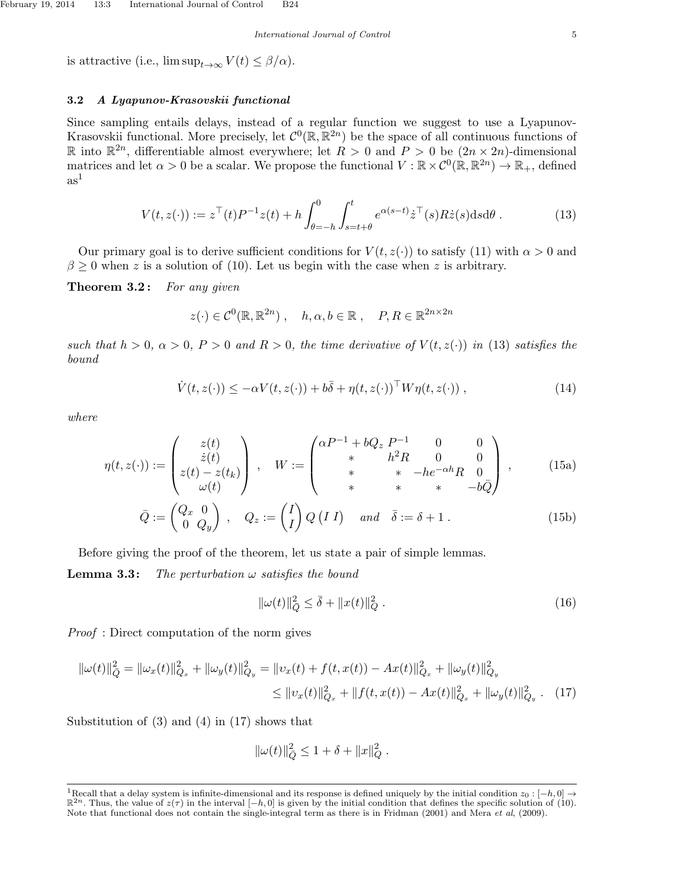is attractive (i.e.,  $\limsup_{t\to\infty} V(t) \leq \beta/\alpha$ ).

### 3.2 A Lyapunov-Krasovskii functional

Since sampling entails delays, instead of a regular function we suggest to use a Lyapunov-Krasovskii functional. More precisely, let  $\mathcal{C}^0(\mathbb{R}, \mathbb{R}^{2n})$  be the space of all continuous functions of R into  $\mathbb{R}^{2n}$ , differentiable almost everywhere; let  $R > 0$  and  $P > 0$  be  $(2n \times 2n)$ -dimensional matrices and let  $\alpha > 0$  be a scalar. We propose the functional  $V : \mathbb{R} \times C^0(\mathbb{R}, \mathbb{R}^{2n}) \to \mathbb{R}_+$ , defined  $as<sup>1</sup>$ 

$$
V(t, z(\cdot)) := z^{\top}(t)P^{-1}z(t) + h \int_{\theta=-h}^{0} \int_{s=t+\theta}^{t} e^{\alpha(s-t)} \dot{z}^{\top}(s) R \dot{z}(s) ds d\theta.
$$
 (13)

Our primary goal is to derive sufficient conditions for  $V(t, z(\cdot))$  to satisfy (11) with  $\alpha > 0$  and  $\beta \geq 0$  when z is a solution of (10). Let us begin with the case when z is arbitrary.

**Theorem 3.2:** For any given

$$
z(\cdot) \in C^0(\mathbb{R}, \mathbb{R}^{2n})
$$
,  $h, \alpha, b \in \mathbb{R}$ ,  $P, R \in \mathbb{R}^{2n \times 2n}$ 

such that  $h > 0$ ,  $\alpha > 0$ ,  $P > 0$  and  $R > 0$ , the time derivative of  $V(t, z(\cdot))$  in (13) satisfies the bound

$$
\dot{V}(t, z(\cdot)) \le -\alpha V(t, z(\cdot)) + b\overline{\delta} + \eta(t, z(\cdot))^{\top} W \eta(t, z(\cdot)), \qquad (14)
$$

where

$$
\eta(t, z(\cdot)) := \begin{pmatrix} z(t) \\ \dot{z}(t) \\ z(t) - z(t_k) \\ \omega(t) \end{pmatrix}, \quad W := \begin{pmatrix} \alpha P^{-1} + bQ_z \ P^{-1} & 0 & 0 \\ * & h^2 R & 0 & 0 \\ * & * & -he^{-\alpha h} R & 0 \\ * & * & * & -b\bar{Q} \end{pmatrix}, \quad (15a)
$$

$$
\bar{Q} := \begin{pmatrix} Q_x & 0 \\ 0 & Q_y \end{pmatrix}, \quad Q_z := \begin{pmatrix} I \\ I \end{pmatrix} Q(I \ I) \quad and \quad \bar{\delta} := \delta + 1. \quad (15b)
$$

Before giving the proof of the theorem, let us state a pair of simple lemmas.

**Lemma 3.3:** The perturbation  $\omega$  satisfies the bound

$$
\|\omega(t)\|_{\bar{Q}}^2 \le \bar{\delta} + \|x(t)\|_{Q}^2 . \tag{16}
$$

Proof : Direct computation of the norm gives

$$
\|\omega(t)\|_{\bar{Q}}^2 = \|\omega_x(t)\|_{Q_x}^2 + \|\omega_y(t)\|_{Q_y}^2 = \|v_x(t) + f(t, x(t)) - Ax(t)\|_{Q_x}^2 + \|\omega_y(t)\|_{Q_y}^2
$$
  

$$
\leq \|v_x(t)\|_{Q_x}^2 + \|f(t, x(t)) - Ax(t)\|_{Q_x}^2 + \|\omega_y(t)\|_{Q_y}^2. \tag{17}
$$

Substitution of (3) and (4) in (17) shows that

$$
\|\omega(t)\|_{\bar{Q}}^2 \leq 1 + \delta + \|x\|_{Q}^2.
$$

<sup>&</sup>lt;sup>1</sup>Recall that a delay system is infinite-dimensional and its response is defined uniquely by the initial condition  $z_0$  :  $[-h, 0] \rightarrow$  $\mathbb{R}^{2n}$ . Thus, the value of  $z(\tau)$  in the interval  $[-h, 0]$  is given by the initial condition that defines the specific solution of (10). Note that functional does not contain the single-integral term as there is in Fridman (2001) and Mera et al, (2009).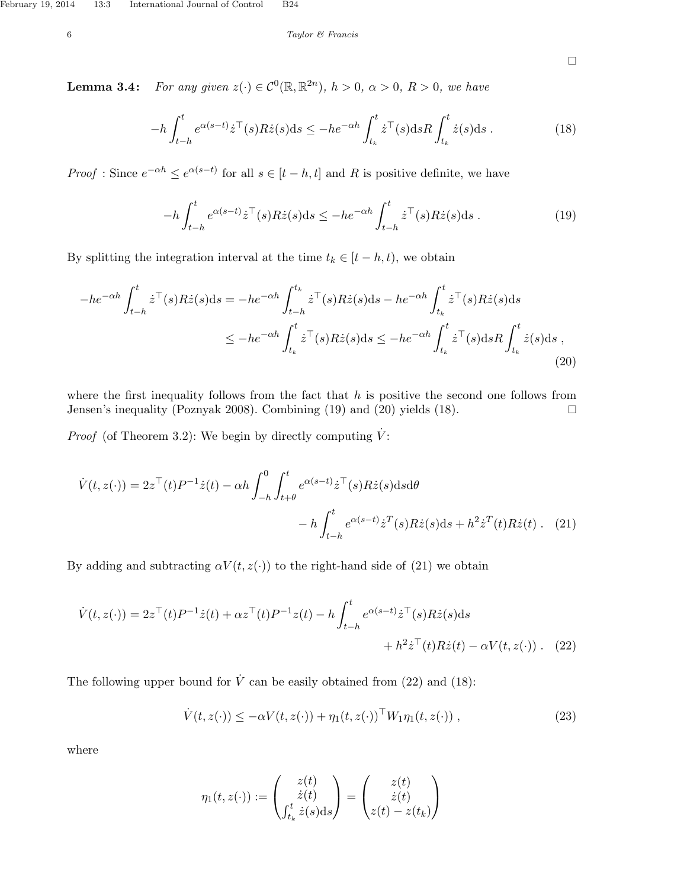$\Box$ 

**Lemma 3.4:** For any given  $z(\cdot) \in C^0(\mathbb{R}, \mathbb{R}^{2n})$ ,  $h > 0$ ,  $\alpha > 0$ ,  $R > 0$ , we have

$$
-h\int_{t-h}^{t} e^{\alpha(s-t)}\dot{z}^{\top}(s)R\dot{z}(s)ds \le -he^{-\alpha h}\int_{t_k}^{t} \dot{z}^{\top}(s)dsR\int_{t_k}^{t} \dot{z}(s)ds . \tag{18}
$$

*Proof* : Since  $e^{-\alpha h} \leq e^{\alpha(s-t)}$  for all  $s \in [t-h, t]$  and R is positive definite, we have

$$
-h \int_{t-h}^{t} e^{\alpha(s-t)} \dot{z}^\top(s) R \dot{z}(s) ds \le -h e^{-\alpha h} \int_{t-h}^{t} \dot{z}^\top(s) R \dot{z}(s) ds . \tag{19}
$$

By splitting the integration interval at the time  $t_k \in [t-h, t)$ , we obtain

$$
-he^{-\alpha h} \int_{t-h}^{t} \dot{z}^{\top}(s) R \dot{z}(s) ds = -he^{-\alpha h} \int_{t-h}^{t_k} \dot{z}^{\top}(s) R \dot{z}(s) ds - he^{-\alpha h} \int_{t_k}^{t} \dot{z}^{\top}(s) R \dot{z}(s) ds
$$
  

$$
\leq -he^{-\alpha h} \int_{t_k}^{t} \dot{z}^{\top}(s) R \dot{z}(s) ds \leq -he^{-\alpha h} \int_{t_k}^{t} \dot{z}^{\top}(s) ds R \int_{t_k}^{t} \dot{z}(s) ds ,
$$
\n(20)

where the first inequality follows from the fact that  $h$  is positive the second one follows from Jensen's inequality (Poznyak 2008). Combining  $(19)$  and  $(20)$  yields  $(18)$ .

*Proof* (of Theorem 3.2): We begin by directly computing  $\dot{V}$ :

$$
\dot{V}(t,z(\cdot)) = 2z^{\top}(t)P^{-1}\dot{z}(t) - \alpha h \int_{-h}^{0} \int_{t+\theta}^{t} e^{\alpha(s-t)} \dot{z}^{\top}(s) R \dot{z}(s) ds d\theta
$$

$$
- h \int_{t-h}^{t} e^{\alpha(s-t)} \dot{z}^{\top}(s) R \dot{z}(s) ds + h^{2} \dot{z}^{\top}(t) R \dot{z}(t) . \quad (21)
$$

By adding and subtracting  $\alpha V(t, z(\cdot))$  to the right-hand side of (21) we obtain

$$
\dot{V}(t,z(\cdot)) = 2z^{\top}(t)P^{-1}\dot{z}(t) + \alpha z^{\top}(t)P^{-1}z(t) - h \int_{t-h}^{t} e^{\alpha(s-t)}\dot{z}^{\top}(s)R\dot{z}(s)ds
$$

$$
+ h^{2}\dot{z}^{\top}(t)R\dot{z}(t) - \alpha V(t,z(\cdot)). \quad (22)
$$

The following upper bound for  $\dot{V}$  can be easily obtained from (22) and (18):

$$
\dot{V}(t, z(\cdot)) \le -\alpha V(t, z(\cdot)) + \eta_1(t, z(\cdot))^{\top} W_1 \eta_1(t, z(\cdot)), \qquad (23)
$$

where

$$
\eta_1(t, z(\cdot)) := \begin{pmatrix} z(t) \\ \dot{z}(t) \\ \int_{t_k}^t \dot{z}(s) \, ds \end{pmatrix} = \begin{pmatrix} z(t) \\ \dot{z}(t) \\ z(t) - z(t_k) \end{pmatrix}
$$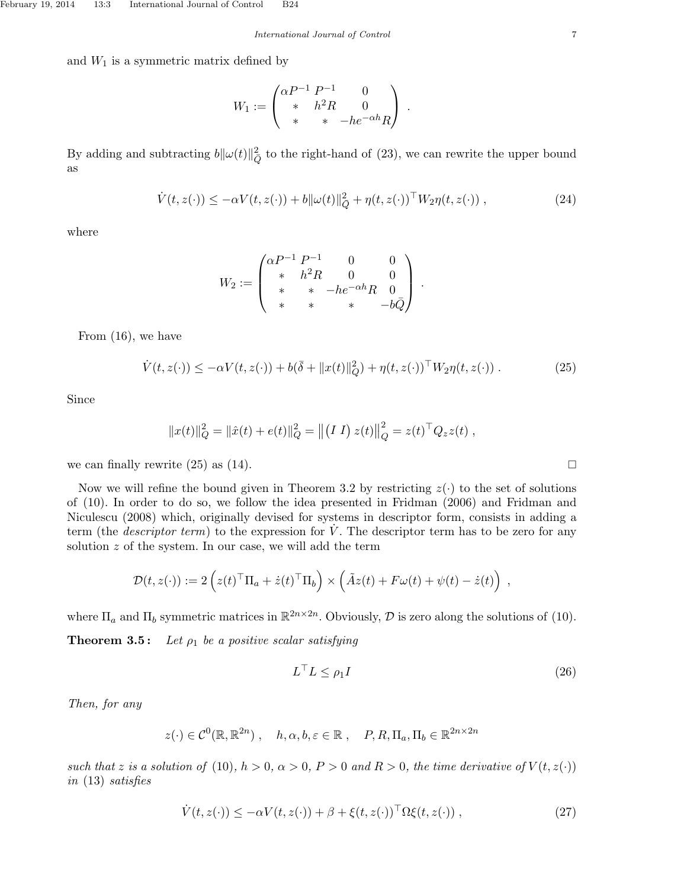International Journal of Control 7

and  $W_1$  is a symmetric matrix defined by

$$
W_1 := \begin{pmatrix} \alpha P^{-1} P^{-1} & 0 \\ * & h^2 R & 0 \\ * & * & -h e^{-\alpha h} R \end{pmatrix} .
$$

By adding and subtracting  $b\|\omega(t)\|_{\overline{Q}}^2$  to the right-hand of (23), we can rewrite the upper bound as

$$
\dot{V}(t, z(\cdot)) \le -\alpha V(t, z(\cdot)) + b \|\omega(t)\|_{\bar{Q}}^2 + \eta(t, z(\cdot))^{\top} W_2 \eta(t, z(\cdot)), \qquad (24)
$$

where

$$
W_2 := \begin{pmatrix} \alpha P^{-1} P^{-1} & 0 & 0 \\ * & h^2 R & 0 & 0 \\ * & * & -h e^{-\alpha h} R & 0 \\ * & * & * & -b \bar{Q} \end{pmatrix}.
$$

From (16), we have

$$
\dot{V}(t,z(\cdot)) \leq -\alpha V(t,z(\cdot)) + b(\bar{\delta} + ||x(t)||_Q^2) + \eta(t,z(\cdot))^{\top} W_2 \eta(t,z(\cdot)). \tag{25}
$$

Since

$$
||x(t)||_Q^2 = ||\hat{x}(t) + e(t)||_Q^2 = ||(II) z(t)||_Q^2 = z(t)^\top Q_z z(t) ,
$$

we can finally rewrite  $(25)$  as  $(14)$ .

Now we will refine the bound given in Theorem 3.2 by restricting  $z(\cdot)$  to the set of solutions of (10). In order to do so, we follow the idea presented in Fridman (2006) and Fridman and Niculescu (2008) which, originally devised for systems in descriptor form, consists in adding a term (the *descriptor term*) to the expression for  $\dot{V}$ . The descriptor term has to be zero for any solution  $z$  of the system. In our case, we will add the term

$$
\mathcal{D}(t,z(\cdot)) := 2\left(z(t)^{\top} \Pi_a + \dot{z}(t)^{\top} \Pi_b\right) \times \left(\tilde{A}z(t) + F\omega(t) + \psi(t) - \dot{z}(t)\right) ,
$$

where  $\Pi_a$  and  $\Pi_b$  symmetric matrices in  $\mathbb{R}^{2n \times 2n}$ . Obviously,  $\mathcal D$  is zero along the solutions of (10).

**Theorem 3.5:** Let  $\rho_1$  be a positive scalar satisfying

$$
L^{\top}L \leq \rho_1 I \tag{26}
$$

Then, for any

$$
z(\cdot) \in C^0(\mathbb{R}, \mathbb{R}^{2n})
$$
,  $h, \alpha, b, \varepsilon \in \mathbb{R}$ ,  $P, R, \Pi_a, \Pi_b \in \mathbb{R}^{2n \times 2n}$ 

such that z is a solution of (10),  $h > 0$ ,  $\alpha > 0$ ,  $P > 0$  and  $R > 0$ , the time derivative of  $V(t, z(\cdot))$ in (13) satisfies

$$
\dot{V}(t, z(\cdot)) \le -\alpha V(t, z(\cdot)) + \beta + \xi(t, z(\cdot))^{\top} \Omega \xi(t, z(\cdot)), \qquad (27)
$$

$$
\sqcup
$$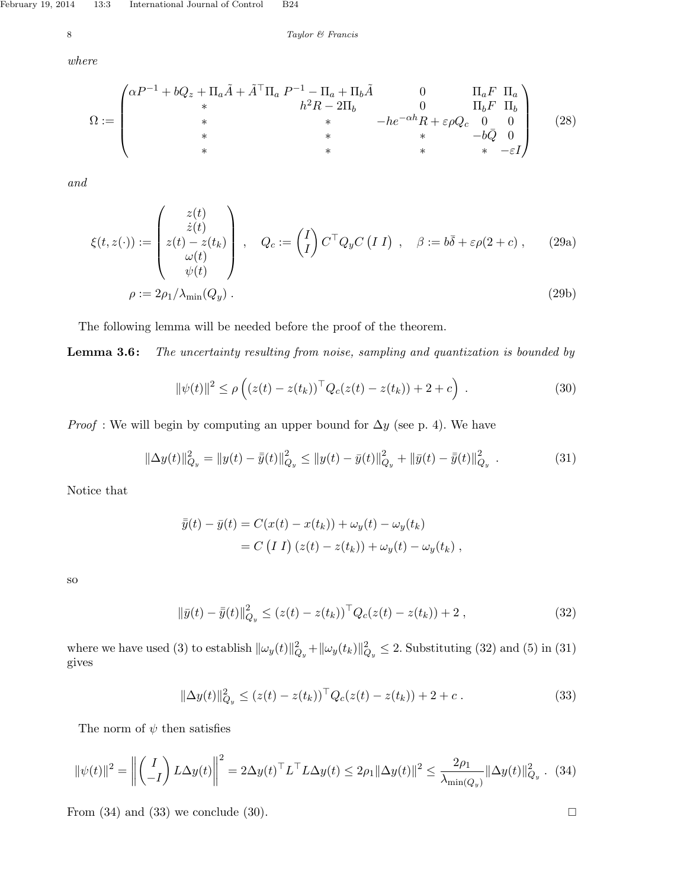$$
8 \hspace{2.5cm} Taylor \hspace{2.2cm} \mathscr{C} \hspace{2.6cm} François
$$

where

$$
\Omega := \begin{pmatrix}\n\alpha P^{-1} + bQ_z + \Pi_a \tilde{A} + \tilde{A}^\top \Pi_a P^{-1} - \Pi_a + \Pi_b \tilde{A} & 0 & \Pi_a F & \Pi_a \\
\ast & h^2 R - 2\Pi_b & 0 & \Pi_b F & \Pi_b \\
\ast & \ast & -he^{-\alpha h} R + \varepsilon \rho Q_c & 0 & 0 \\
\ast & \ast & \ast & -b\bar{Q} & 0 \\
\ast & \ast & \ast & \ast & -\varepsilon I\n\end{pmatrix}
$$
\n(28)

and

$$
\xi(t, z(\cdot)) := \begin{pmatrix} z(t) \\ \dot{z}(t) \\ \omega(t) \\ \omega(t) \\ \rho := 2\rho_1/\lambda_{\min}(Q_y) \end{pmatrix}, \quad Q_c := \begin{pmatrix} I \\ I \end{pmatrix} C^{\top} Q_y C (I \ I) , \quad \beta := b\bar{\delta} + \varepsilon \rho(2 + c) , \quad (29a)
$$
\n
$$
\rho := 2\rho_1/\lambda_{\min}(Q_y) .
$$
\n(29b)

The following lemma will be needed before the proof of the theorem.

**Lemma 3.6:** The uncertainty resulting from noise, sampling and quantization is bounded by

$$
\|\psi(t)\|^2 \le \rho\left( (z(t) - z(t_k))^{\top} Q_c(z(t) - z(t_k)) + 2 + c \right) . \tag{30}
$$

*Proof* : We will begin by computing an upper bound for  $\Delta y$  (see p. 4). We have

$$
\|\Delta y(t)\|_{Q_y}^2 = \|y(t) - \bar{y}(t)\|_{Q_y}^2 \le \|y(t) - \bar{y}(t)\|_{Q_y}^2 + \|\bar{y}(t) - \bar{y}(t)\|_{Q_y}^2 \tag{31}
$$

Notice that

$$
\overline{\overline{y}}(t) - \overline{y}(t) = C(x(t) - x(t_k)) + \omega_y(t) - \omega_y(t_k)
$$
  
= C (I I) (z(t) - z(t\_k)) + \omega\_y(t) - \omega\_y(t\_k) ,

so

$$
\|\bar{y}(t) - \bar{\bar{y}}(t)\|_{Q_y}^2 \le (z(t) - z(t_k))^{\top} Q_c(z(t) - z(t_k)) + 2,
$$
\n(32)

where we have used (3) to establish  $\|\omega_y(t)\|_{Q_y}^2 + \|\omega_y(t_k)\|_{Q_y}^2 \le 2$ . Substituting (32) and (5) in (31) gives

$$
\|\Delta y(t)\|_{Q_y}^2 \le (z(t) - z(t_k))^{\top} Q_c(z(t) - z(t_k)) + 2 + c. \tag{33}
$$

The norm of  $\psi$  then satisfies

$$
\|\psi(t)\|^2 = \left\| \begin{pmatrix} I \\ -I \end{pmatrix} L \Delta y(t) \right\|^2 = 2 \Delta y(t)^\top L^\top L \Delta y(t) \le 2\rho_1 \|\Delta y(t)\|^2 \le \frac{2\rho_1}{\lambda_{\min(Q_y)}} \|\Delta y(t)\|_{Q_y}^2. \tag{34}
$$

From  $(34)$  and  $(33)$  we conclude  $(30)$ .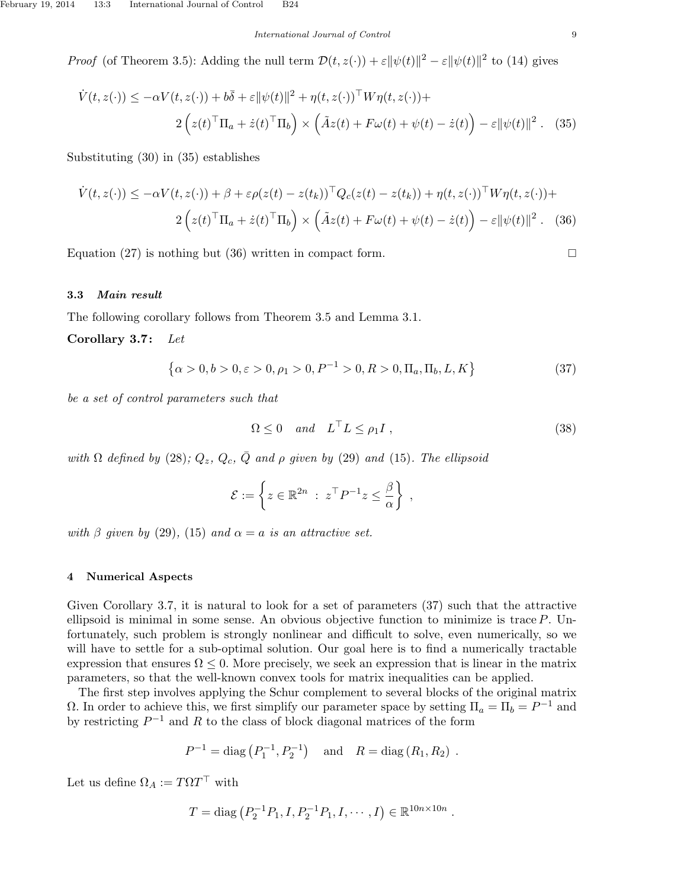#### International Journal of Control 9

*Proof* (of Theorem 3.5): Adding the null term  $\mathcal{D}(t, z(\cdot)) + \varepsilon ||\psi(t)||^2 - \varepsilon ||\psi(t)||^2$  to (14) gives

$$
\dot{V}(t, z(\cdot)) \le -\alpha V(t, z(\cdot)) + b\overline{\delta} + \varepsilon \|\psi(t)\|^2 + \eta(t, z(\cdot))^{\top} W\eta(t, z(\cdot)) +
$$
  

$$
2\left(z(t)^{\top}\Pi_a + \dot{z}(t)^{\top}\Pi_b\right) \times \left(\tilde{A}z(t) + F\omega(t) + \psi(t) - \dot{z}(t)\right) - \varepsilon \|\psi(t)\|^2. \tag{35}
$$

Substituting (30) in (35) establishes

$$
\dot{V}(t, z(\cdot)) \le -\alpha V(t, z(\cdot)) + \beta + \varepsilon \rho(z(t) - z(t_k))^{\top} Q_c(z(t) - z(t_k)) + \eta(t, z(\cdot))^{\top} W \eta(t, z(\cdot)) +
$$
  

$$
2\left(z(t)^{\top} \Pi_a + \dot{z}(t)^{\top} \Pi_b\right) \times \left(\tilde{A}z(t) + F\omega(t) + \psi(t) - \dot{z}(t)\right) - \varepsilon \|\psi(t)\|^2. \tag{36}
$$

Equation (27) is nothing but (36) written in compact form.

## 3.3 Main result

The following corollary follows from Theorem 3.5 and Lemma 3.1.

Corollary 3.7: Let

$$
\{\alpha > 0, b > 0, \varepsilon > 0, \rho_1 > 0, P^{-1} > 0, R > 0, \Pi_a, \Pi_b, L, K\}
$$
\n(37)

be a set of control parameters such that

$$
\Omega \le 0 \quad and \quad L^{\top}L \le \rho_1 I \tag{38}
$$

.

with  $\Omega$  defined by (28);  $Q_z$ ,  $Q_c$ ,  $\overline{Q}$  and  $\rho$  given by (29) and (15). The ellipsoid

$$
\mathcal{E} := \left\{ z \in \mathbb{R}^{2n} \; : \; z^{\top} P^{-1} z \leq \frac{\beta}{\alpha} \right\} ,
$$

with β given by (29), (15) and  $\alpha = a$  is an attractive set.

### 4 Numerical Aspects

Given Corollary 3.7, it is natural to look for a set of parameters (37) such that the attractive ellipsoid is minimal in some sense. An obvious objective function to minimize is trace P. Unfortunately, such problem is strongly nonlinear and difficult to solve, even numerically, so we will have to settle for a sub-optimal solution. Our goal here is to find a numerically tractable expression that ensures  $\Omega \leq 0$ . More precisely, we seek an expression that is linear in the matrix parameters, so that the well-known convex tools for matrix inequalities can be applied.

The first step involves applying the Schur complement to several blocks of the original matrix Ω. In order to achieve this, we first simplify our parameter space by setting  $\Pi_a = \Pi_b = P^{-1}$  and by restricting  $P^{-1}$  and R to the class of block diagonal matrices of the form

$$
P^{-1} = \text{diag}(P_1^{-1}, P_2^{-1})
$$
 and  $R = \text{diag}(R_1, R_2)$ .

Let us define  $\Omega_A := T \Omega T^{\top}$  with

$$
T = \text{diag}\left(P_2^{-1}P_1, I, P_2^{-1}P_1, I, \cdots, I\right) \in \mathbb{R}^{10n \times 10n}
$$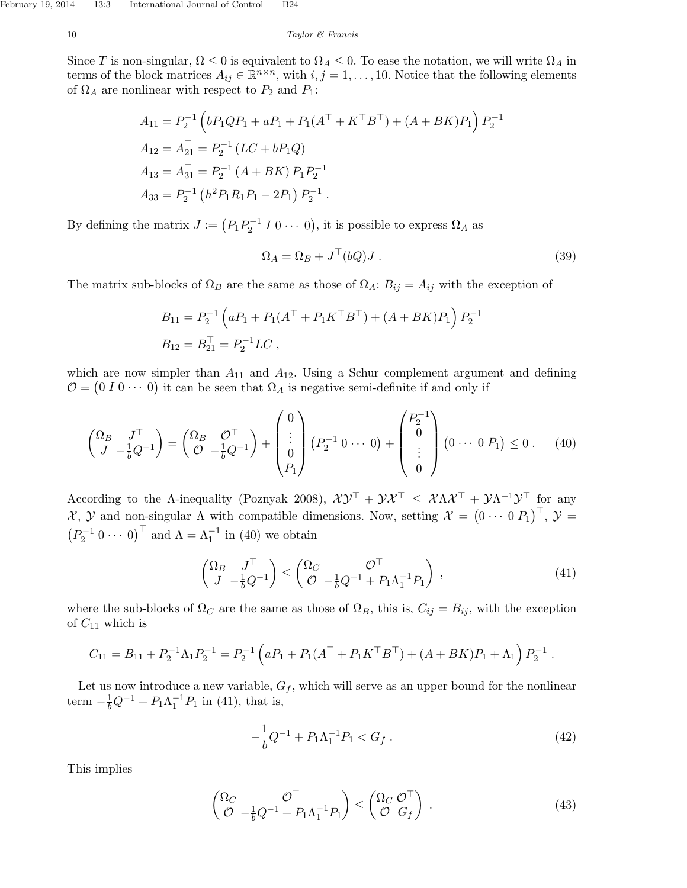Since T is non-singular,  $\Omega \leq 0$  is equivalent to  $\Omega_A \leq 0$ . To ease the notation, we will write  $\Omega_A$  in terms of the block matrices  $A_{ij} \in \mathbb{R}^{n \times n}$ , with  $i, j = 1, \ldots, 10$ . Notice that the following elements of  $\Omega_A$  are nonlinear with respect to  $P_2$  and  $P_1$ :

$$
A_{11} = P_2^{-1} \left( bP_1QP_1 + aP_1 + P_1(A^\top + K^\top B^\top) + (A + BK)P_1 \right) P_2^{-1}
$$
  
\n
$$
A_{12} = A_{21}^\top = P_2^{-1} (LC + bP_1Q)
$$
  
\n
$$
A_{13} = A_{31}^\top = P_2^{-1} (A + BK) P_1 P_2^{-1}
$$
  
\n
$$
A_{33} = P_2^{-1} (h^2 P_1 R_1 P_1 - 2P_1) P_2^{-1}.
$$

By defining the matrix  $J := (P_1 P_2^{-1} I 0 \cdots 0)$ , it is possible to express  $\Omega_A$  as

$$
\Omega_A = \Omega_B + J^\top (bQ) J . \tag{39}
$$

The matrix sub-blocks of  $\Omega_B$  are the same as those of  $\Omega_A: B_{ij} = A_{ij}$  with the exception of

$$
B_{11} = P_2^{-1} \left( a P_1 + P_1 (A^\top + P_1 K^\top B^\top) + (A + BK) P_1 \right) P_2^{-1}
$$
  
\n
$$
B_{12} = B_{21}^\top = P_2^{-1} LC,
$$

which are now simpler than  $A_{11}$  and  $A_{12}$ . Using a Schur complement argument and defining  $\mathcal{O} = (0 I 0 \cdots 0)$  it can be seen that  $\Omega_A$  is negative semi-definite if and only if

$$
\begin{pmatrix} \Omega_B & J^{\top} \\ J & -\frac{1}{b}Q^{-1} \end{pmatrix} = \begin{pmatrix} \Omega_B & \mathcal{O}^{\top} \\ \mathcal{O} & -\frac{1}{b}Q^{-1} \end{pmatrix} + \begin{pmatrix} 0 \\ \vdots \\ 0 \\ P_1 \end{pmatrix} (P_2^{-1} \ 0 \ \cdots \ 0) + \begin{pmatrix} P_2^{-1} \\ 0 \\ \vdots \\ 0 \end{pmatrix} (0 \ \cdots \ 0 \ P_1) \le 0 \ . \tag{40}
$$

According to the A-inequality (Poznyak 2008),  $\chi y^\top + y\chi^\top \leq \chi \Lambda \chi^\top + y\Lambda^{-1}y^\top$  for any  $\mathcal{X}, \mathcal{Y}$  and non-singular  $\Lambda$  with compatible dimensions. Now, setting  $\mathcal{X} = (0 \cdots 0 P_1)^{\top}, \mathcal{Y} =$  $\left(P_2^{-1} 0 \cdots 0\right)^{\top}$  and  $\Lambda = \Lambda_1^{-1}$  in (40) we obtain

$$
\begin{pmatrix} \Omega_B & J^\top \\ J & -\frac{1}{b}Q^{-1} \end{pmatrix} \le \begin{pmatrix} \Omega_C & \mathcal{O}^\top \\ \mathcal{O} & -\frac{1}{b}Q^{-1} + P_1\Lambda_1^{-1}P_1 \end{pmatrix},
$$
\n(41)

where the sub-blocks of  $\Omega_C$  are the same as those of  $\Omega_B$ , this is,  $C_{ij} = B_{ij}$ , with the exception of  $C_{11}$  which is

$$
C_{11} = B_{11} + P_2^{-1} \Lambda_1 P_2^{-1} = P_2^{-1} \left( a P_1 + P_1 (A^\top + P_1 K^\top B^\top) + (A + BK) P_1 + \Lambda_1 \right) P_2^{-1}.
$$

Let us now introduce a new variable,  $G_f$ , which will serve as an upper bound for the nonlinear term  $-\frac{1}{b}Q^{-1} + P_1\Lambda_1^{-1}P_1$  in (41), that is,

$$
-\frac{1}{b}Q^{-1} + P_1\Lambda_1^{-1}P_1 < G_f \tag{42}
$$

This implies

$$
\begin{pmatrix}\n\Omega_C & \mathcal{O}^\top \\
\mathcal{O} & -\frac{1}{b}Q^{-1} + P_1\Lambda_1^{-1}P_1\n\end{pmatrix} \leq \begin{pmatrix}\n\Omega_C & \mathcal{O}^\top \\
\mathcal{O} & G_f\n\end{pmatrix} .
$$
\n(43)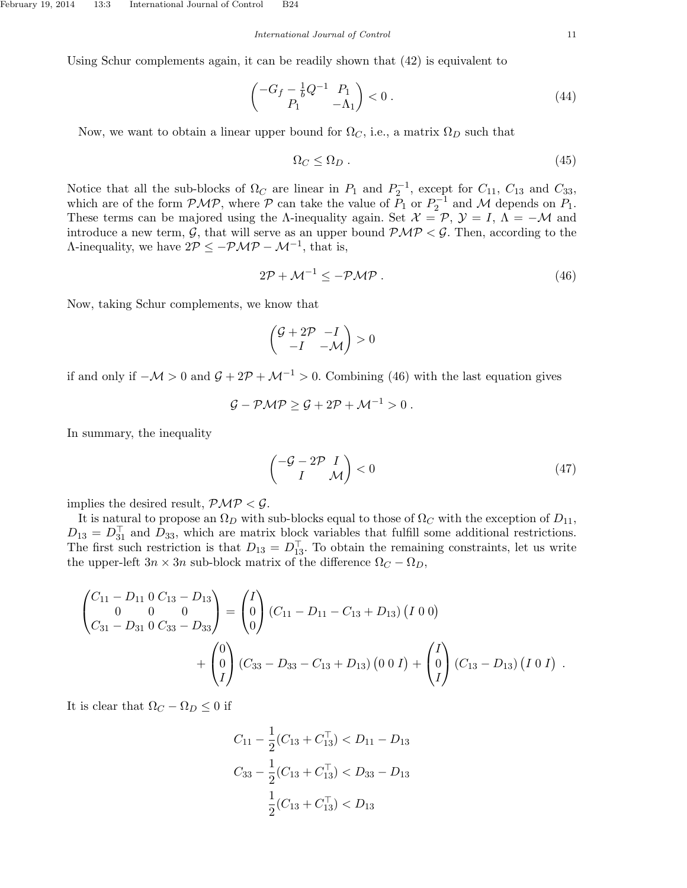Using Schur complements again, it can be readily shown that (42) is equivalent to

$$
\begin{pmatrix} -G_f - \frac{1}{b}Q^{-1} & P_1 \\ P_1 & -\Lambda_1 \end{pmatrix} < 0 \tag{44}
$$

Now, we want to obtain a linear upper bound for  $\Omega_C$ , i.e., a matrix  $\Omega_D$  such that

$$
\Omega_C \le \Omega_D \tag{45}
$$

Notice that all the sub-blocks of  $\Omega_C$  are linear in  $P_1$  and  $P_2^{-1}$ , except for  $C_{11}$ ,  $C_{13}$  and  $C_{33}$ , which are of the form  $\mathcal{PMP}$ , where  $\mathcal P$  can take the value of  $P_1$  or  $P_2^{-1}$  and  $\mathcal M$  depends on  $P_1$ . These terms can be majored using the  $\Lambda$ -inequality again. Set  $\mathcal{X} = \mathcal{P}, \mathcal{Y} = I, \Lambda = -\mathcal{M}$  and introduce a new term,  $G$ , that will serve as an upper bound  $PMP < G$ . Then, according to the  $\Lambda$ -inequality, we have  $2P \le -P\mathcal{MP} - \mathcal{M}^{-1}$ , that is,

$$
2\mathcal{P} + \mathcal{M}^{-1} \le -\mathcal{P}\mathcal{M}\mathcal{P} \tag{46}
$$

Now, taking Schur complements, we know that

$$
\begin{pmatrix} \mathcal{G} + 2\mathcal{P} & -I \\ -I & -\mathcal{M} \end{pmatrix} > 0
$$

if and only if  $-\mathcal{M} > 0$  and  $\mathcal{G} + 2\mathcal{P} + \mathcal{M}^{-1} > 0$ . Combining (46) with the last equation gives

$$
\mathcal{G} - \mathcal{PMP} \geq \mathcal{G} + 2\mathcal{P} + \mathcal{M}^{-1} > 0.
$$

In summary, the inequality

$$
\begin{pmatrix} -\mathcal{G} - 2\mathcal{P} & I \\ I & \mathcal{M} \end{pmatrix} < 0 \tag{47}
$$

implies the desired result,  $\mathcal{PMP} < \mathcal{G}$ .

It is natural to propose an  $\Omega_D$  with sub-blocks equal to those of  $\Omega_C$  with the exception of  $D_{11}$ ,  $D_{13} = D_{31}^{\top}$  and  $D_{33}$ , which are matrix block variables that fulfill some additional restrictions. The first such restriction is that  $D_{13} = D_{13}^T$ . To obtain the remaining constraints, let us write the upper-left  $3n \times 3n$  sub-block matrix of the difference  $\Omega_C - \Omega_D$ ,

$$
\begin{pmatrix}\nC_{11} - D_{11} & 0 & C_{13} - D_{13} \\
0 & 0 & 0 \\
C_{31} - D_{31} & 0 & C_{33} - D_{33}\n\end{pmatrix} =\n\begin{pmatrix}\nI \\
0 \\
0\n\end{pmatrix}\n(C_{11} - D_{11} - C_{13} + D_{13})\n\begin{pmatrix}\nI & 0 & 0\n\end{pmatrix} \\
+ \begin{pmatrix}\n0 \\
0 \\
I\n\end{pmatrix}\n(C_{33} - D_{33} - C_{13} + D_{13})\n\begin{pmatrix}\n0 & 0 & I\n\end{pmatrix} + \begin{pmatrix}\nI \\
0 \\
I\n\end{pmatrix}\n(C_{13} - D_{13})\n\begin{pmatrix}\nI & 0 & I\n\end{pmatrix}.
$$

It is clear that  $\Omega_C - \Omega_D \leq 0$  if

$$
C_{11} - \frac{1}{2}(C_{13} + C_{13}^{\top}) < D_{11} - D_{13}
$$
\n
$$
C_{33} - \frac{1}{2}(C_{13} + C_{13}^{\top}) < D_{33} - D_{13}
$$
\n
$$
\frac{1}{2}(C_{13} + C_{13}^{\top}) < D_{13}
$$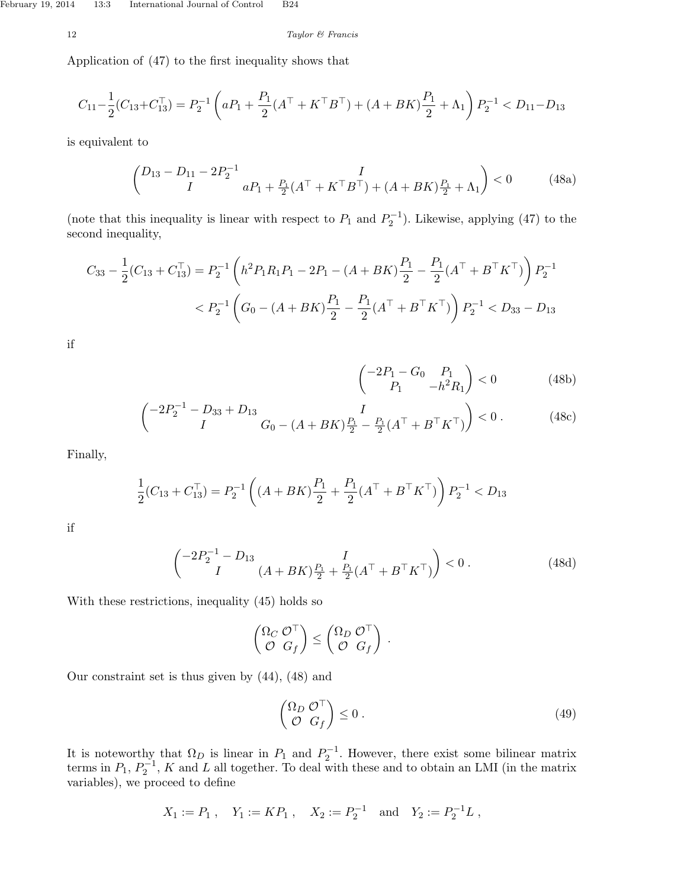$$
12 \hspace{3.2cm} Taylor \hspace{2.2cm} \text{\textcircled{\ensuremath{\mathfrak{S}}}} \hspace{2.5cm} Francis
$$

Application of (47) to the first inequality shows that

$$
C_{11} - \frac{1}{2}(C_{13} + C_{13}^{\top}) = P_2^{-1} \left( aP_1 + \frac{P_1}{2} (A^{\top} + K^{\top} B^{\top}) + (A + BK) \frac{P_1}{2} + \Lambda_1 \right) P_2^{-1} < D_{11} - D_{13}
$$

is equivalent to

$$
\begin{pmatrix} D_{13} - D_{11} - 2P_2^{-1} & I \\ I & aP_1 + \frac{P_1}{2}(A^\top + K^\top B^\top) + (A + BK)\frac{P_1}{2} + \Lambda_1 \end{pmatrix} < 0 \tag{48a}
$$

(note that this inequality is linear with respect to  $P_1$  and  $P_2^{-1}$ ). Likewise, applying (47) to the second inequality,

$$
C_{33} - \frac{1}{2}(C_{13} + C_{13}^{\top}) = P_2^{-1} \left( h^2 P_1 R_1 P_1 - 2P_1 - (A + BK) \frac{P_1}{2} - \frac{P_1}{2} (A^{\top} + B^{\top} K^{\top}) \right) P_2^{-1}
$$
  

$$
< P_2^{-1} \left( G_0 - (A + BK) \frac{P_1}{2} - \frac{P_1}{2} (A^{\top} + B^{\top} K^{\top}) \right) P_2^{-1} < D_{33} - D_{13}
$$

if

$$
\begin{pmatrix} -2P_1 - G_0 & P_1 \\ P_1 & -h^2 R_1 \end{pmatrix} < 0
$$
 (48b)

$$
\begin{pmatrix} -2P_2^{-1} - D_{33} + D_{13} & I \\ I & G_0 - (A + BK)\frac{P_1}{2} - \frac{P_1}{2}(A^\top + B^\top K^\top) \end{pmatrix} < 0. \tag{48c}
$$

Finally,

$$
\frac{1}{2}(C_{13} + C_{13}^{\top}) = P_2^{-1} \left( (A + BK) \frac{P_1}{2} + \frac{P_1}{2} (A^{\top} + B^{\top} K^{\top}) \right) P_2^{-1} < D_{13}
$$

if

$$
\begin{pmatrix} -2P_2^{-1} - D_{13} & I \\ I & (A + BK)\frac{P_1}{2} + \frac{P_1}{2}(A^\top + B^\top K^\top) \end{pmatrix} < 0. \tag{48d}
$$

With these restrictions, inequality (45) holds so

$$
\begin{pmatrix} \Omega_C & \mathcal{O}^\top \\ \mathcal{O} & G_f \end{pmatrix} \leq \begin{pmatrix} \Omega_D & \mathcal{O}^\top \\ \mathcal{O} & G_f \end{pmatrix} .
$$

Our constraint set is thus given by (44), (48) and

$$
\begin{pmatrix} \Omega_D & \mathcal{O}^\top \\ \mathcal{O} & G_f \end{pmatrix} \le 0 \tag{49}
$$

It is noteworthy that  $\Omega_D$  is linear in  $P_1$  and  $P_2^{-1}$ . However, there exist some bilinear matrix terms in  $P_1, P_2^{-1}, K$  and L all together. To deal with these and to obtain an LMI (in the matrix variables), we proceed to define

$$
X_1 := P_1
$$
,  $Y_1 := KP_1$ ,  $X_2 := P_2^{-1}$  and  $Y_2 := P_2^{-1}L$ ,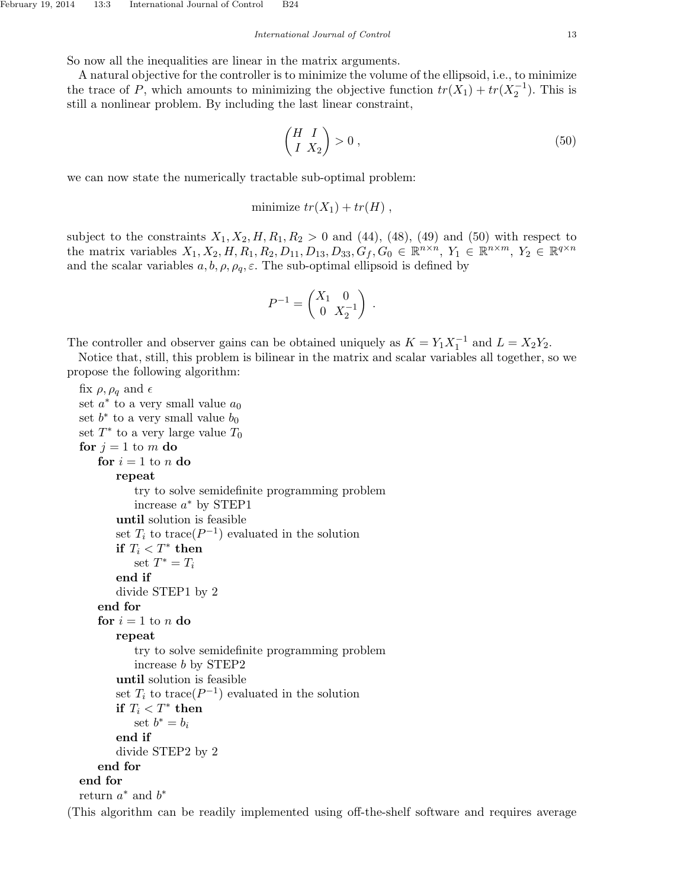So now all the inequalities are linear in the matrix arguments.

A natural objective for the controller is to minimize the volume of the ellipsoid, i.e., to minimize the trace of P, which amounts to minimizing the objective function  $tr(X_1) + tr(X_2^{-1})$ . This is still a nonlinear problem. By including the last linear constraint,

$$
\begin{pmatrix} H & I \\ I & X_2 \end{pmatrix} > 0 , \t\t(50)
$$

we can now state the numerically tractable sub-optimal problem:

minimize  $tr(X_1) + tr(H)$ ,

subject to the constraints  $X_1, X_2, H, R_1, R_2 > 0$  and (44), (48), (49) and (50) with respect to the matrix variables  $X_1, X_2, H, R_1, R_2, D_{11}, D_{13}, D_{33}, G_f, G_0 \in \mathbb{R}^{n \times n}, Y_1 \in \mathbb{R}^{n \times m}, Y_2 \in \mathbb{R}^{q \times n}$ and the scalar variables  $a, b, \rho, \rho_a, \varepsilon$ . The sub-optimal ellipsoid is defined by

$$
P^{-1} = \begin{pmatrix} X_1 & 0 \\ 0 & X_2^{-1} \end{pmatrix} .
$$

The controller and observer gains can be obtained uniquely as  $K = Y_1 X_1^{-1}$  and  $L = X_2 Y_2$ .

Notice that, still, this problem is bilinear in the matrix and scalar variables all together, so we propose the following algorithm:

```
fix \rho, \rho_q and \epsilonset a^* to a very small value a_0set b^* to a very small value b_0set T^* to a very large value T_0for j = 1 to m do
     for i = 1 to n do
         repeat
             try to solve semidefinite programming problem
             increase a^* by STEP1
         until solution is feasible
         set T_i to trace(P^{-1}) evaluated in the solution
         if T_i < T^* then
             set T^* = T_iend if
         divide STEP1 by 2
     end for
     for i = 1 to n do
         repeat
             try to solve semidefinite programming problem
             increase b by STEP2
         until solution is feasible
         set T_i to trace(P^{-1}) evaluated in the solution
         if T_i < T^* then
             set b^* = b_iend if
         divide STEP2 by 2
     end for
  end for
  return a^* and b^*(This algorithm can be readily implemented using off-the-shelf software and requires average
```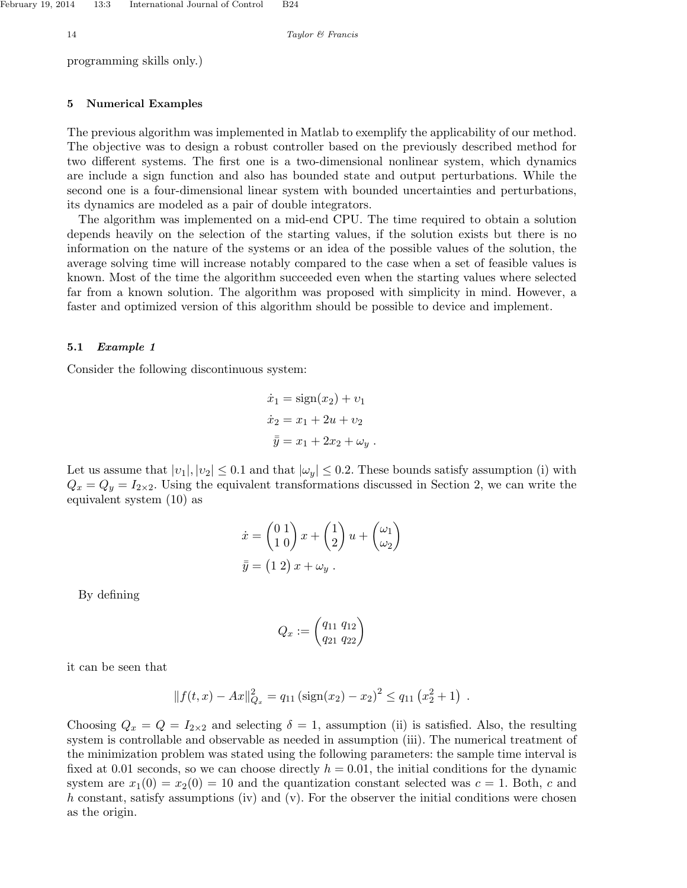programming skills only.)

## 5 Numerical Examples

The previous algorithm was implemented in Matlab to exemplify the applicability of our method. The objective was to design a robust controller based on the previously described method for two different systems. The first one is a two-dimensional nonlinear system, which dynamics are include a sign function and also has bounded state and output perturbations. While the second one is a four-dimensional linear system with bounded uncertainties and perturbations, its dynamics are modeled as a pair of double integrators.

The algorithm was implemented on a mid-end CPU. The time required to obtain a solution depends heavily on the selection of the starting values, if the solution exists but there is no information on the nature of the systems or an idea of the possible values of the solution, the average solving time will increase notably compared to the case when a set of feasible values is known. Most of the time the algorithm succeeded even when the starting values where selected far from a known solution. The algorithm was proposed with simplicity in mind. However, a faster and optimized version of this algorithm should be possible to device and implement.

## 5.1 Example 1

Consider the following discontinuous system:

$$
\dot{x}_1 = \text{sign}(x_2) + v_1
$$

$$
\dot{x}_2 = x_1 + 2u + v_2
$$

$$
\bar{\bar{y}} = x_1 + 2x_2 + \omega_y.
$$

Let us assume that  $|v_1|, |v_2| \leq 0.1$  and that  $|\omega_y| \leq 0.2$ . These bounds satisfy assumption (i) with  $Q_x = Q_y = I_{2\times 2}$ . Using the equivalent transformations discussed in Section 2, we can write the equivalent system (10) as

$$
\dot{x} = \begin{pmatrix} 0 & 1 \\ 1 & 0 \end{pmatrix} x + \begin{pmatrix} 1 \\ 2 \end{pmatrix} u + \begin{pmatrix} \omega_1 \\ \omega_2 \end{pmatrix}
$$

$$
\bar{\bar{y}} = (1 \ 2) x + \omega_y.
$$

By defining

$$
Q_x := \begin{pmatrix} q_{11} & q_{12} \\ q_{21} & q_{22} \end{pmatrix}
$$

it can be seen that

$$
|| f(t,x) - Ax ||_{Q_x}^2 = q_{11} (\text{sign}(x_2) - x_2)^2 \le q_{11} (x_2^2 + 1) .
$$

Choosing  $Q_x = Q = I_{2\times 2}$  and selecting  $\delta = 1$ , assumption (ii) is satisfied. Also, the resulting system is controllable and observable as needed in assumption (iii). The numerical treatment of the minimization problem was stated using the following parameters: the sample time interval is fixed at 0.01 seconds, so we can choose directly  $h = 0.01$ , the initial conditions for the dynamic system are  $x_1(0) = x_2(0) = 10$  and the quantization constant selected was  $c = 1$ . Both, c and h constant, satisfy assumptions (iv) and (v). For the observer the initial conditions were chosen as the origin.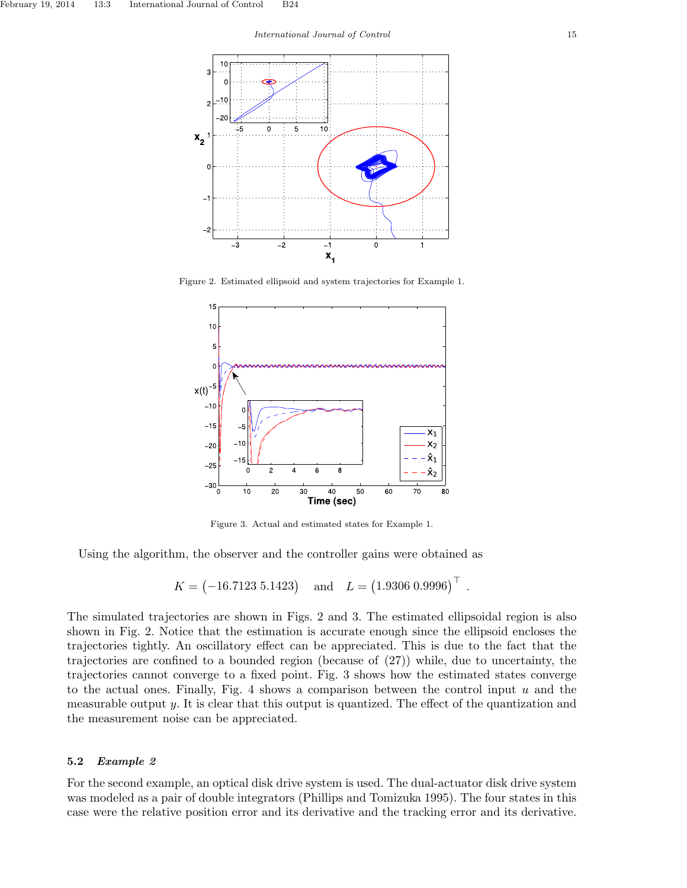

Figure 2. Estimated ellipsoid and system trajectories for Example 1.



Figure 3. Actual and estimated states for Example 1.

Using the algorithm, the observer and the controller gains were obtained as

$$
K = (-16.7123 \t 5.1423)
$$
 and  $L = (1.9306 \t 0.9996)^{\top}$ 

.

The simulated trajectories are shown in Figs. 2 and 3. The estimated ellipsoidal region is also shown in Fig. 2. Notice that the estimation is accurate enough since the ellipsoid encloses the trajectories tightly. An oscillatory effect can be appreciated. This is due to the fact that the trajectories are confined to a bounded region (because of (27)) while, due to uncertainty, the trajectories cannot converge to a fixed point. Fig. 3 shows how the estimated states converge to the actual ones. Finally, Fig. 4 shows a comparison between the control input  $u$  and the measurable output  $y$ . It is clear that this output is quantized. The effect of the quantization and the measurement noise can be appreciated.

## 5.2 Example 2

For the second example, an optical disk drive system is used. The dual-actuator disk drive system was modeled as a pair of double integrators (Phillips and Tomizuka 1995). The four states in this case were the relative position error and its derivative and the tracking error and its derivative.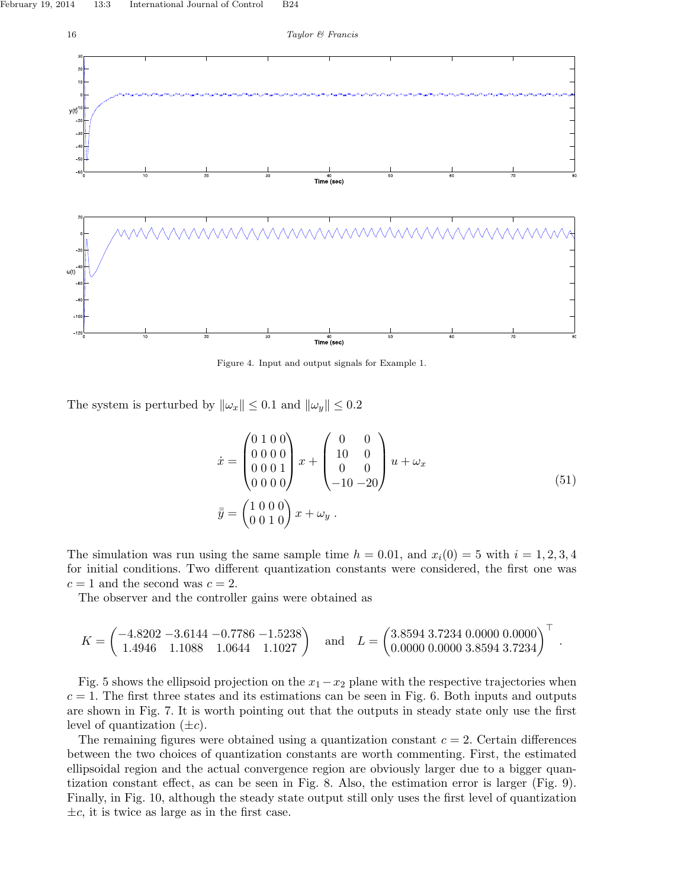

Figure 4. Input and output signals for Example 1.

The system is perturbed by  $\|\omega_x\| \leq 0.1$  and  $\|\omega_y\| \leq 0.2$ 

$$
\begin{aligned}\n\dot{x} &= \begin{pmatrix} 0 & 1 & 0 & 0 \\ 0 & 0 & 0 & 0 \\ 0 & 0 & 0 & 1 \\ 0 & 0 & 0 & 0 \end{pmatrix} x + \begin{pmatrix} 0 & 0 \\ 10 & 0 \\ 0 & 0 \\ -10 & -20 \end{pmatrix} u + \omega_x \\
\bar{y} &= \begin{pmatrix} 1 & 0 & 0 & 0 \\ 0 & 0 & 1 & 0 \end{pmatrix} x + \omega_y .\n\end{aligned} \tag{51}
$$

.

The simulation was run using the same sample time  $h = 0.01$ , and  $x_i(0) = 5$  with  $i = 1, 2, 3, 4$ for initial conditions. Two different quantization constants were considered, the first one was  $c = 1$  and the second was  $c = 2$ .

The observer and the controller gains were obtained as

$$
K = \begin{pmatrix} -4.8202 & -3.6144 & -0.7786 & -1.5238 \\ 1.4946 & 1.1088 & 1.0644 & 1.1027 \end{pmatrix} \text{ and } L = \begin{pmatrix} 3.8594 & 3.7234 & 0.0000 & 0.0000 \\ 0.0000 & 0.0000 & 3.8594 & 3.7234 \end{pmatrix}^{\top}
$$

Fig. 5 shows the ellipsoid projection on the  $x_1 - x_2$  plane with the respective trajectories when  $c = 1$ . The first three states and its estimations can be seen in Fig. 6. Both inputs and outputs are shown in Fig. 7. It is worth pointing out that the outputs in steady state only use the first level of quantization  $(\pm c)$ .

The remaining figures were obtained using a quantization constant  $c = 2$ . Certain differences between the two choices of quantization constants are worth commenting. First, the estimated ellipsoidal region and the actual convergence region are obviously larger due to a bigger quantization constant effect, as can be seen in Fig. 8. Also, the estimation error is larger (Fig. 9). Finally, in Fig. 10, although the steady state output still only uses the first level of quantization  $\pm c$ , it is twice as large as in the first case.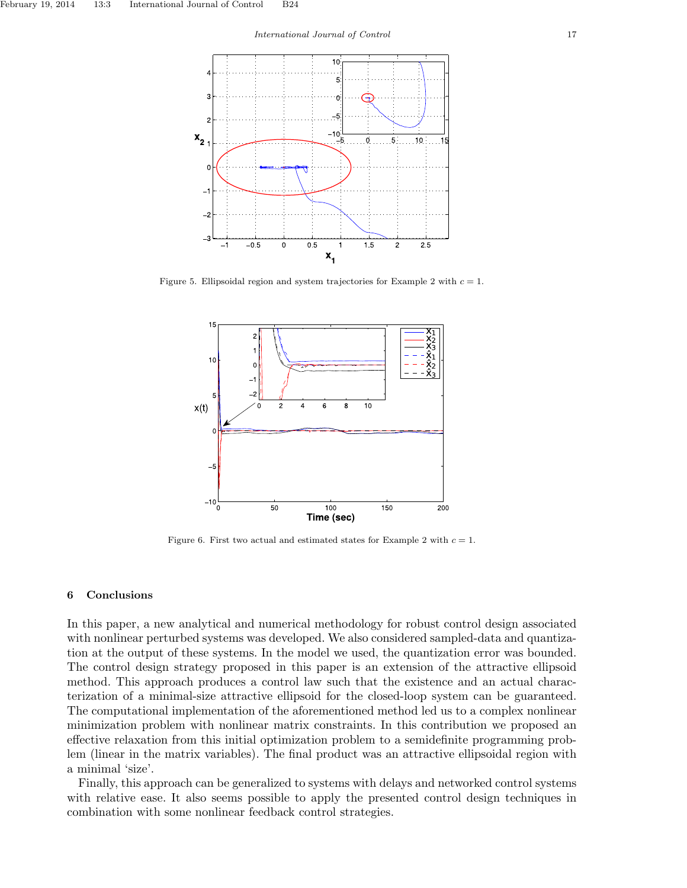

Figure 5. Ellipsoidal region and system trajectories for Example 2 with  $c = 1$ .



Figure 6. First two actual and estimated states for Example 2 with  $c = 1$ .

## 6 Conclusions

In this paper, a new analytical and numerical methodology for robust control design associated with nonlinear perturbed systems was developed. We also considered sampled-data and quantization at the output of these systems. In the model we used, the quantization error was bounded. The control design strategy proposed in this paper is an extension of the attractive ellipsoid method. This approach produces a control law such that the existence and an actual characterization of a minimal-size attractive ellipsoid for the closed-loop system can be guaranteed. The computational implementation of the aforementioned method led us to a complex nonlinear minimization problem with nonlinear matrix constraints. In this contribution we proposed an effective relaxation from this initial optimization problem to a semidefinite programming problem (linear in the matrix variables). The final product was an attractive ellipsoidal region with a minimal 'size'.

Finally, this approach can be generalized to systems with delays and networked control systems with relative ease. It also seems possible to apply the presented control design techniques in combination with some nonlinear feedback control strategies.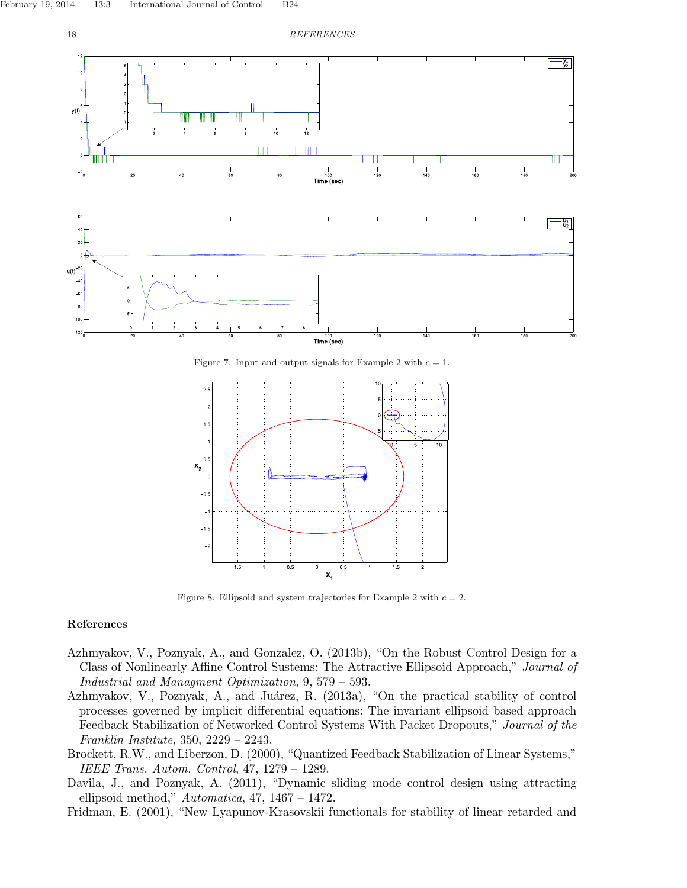18 REFERENCES



Figure 7. Input and output signals for Example 2 with  $c = 1$ .



Figure 8. Ellipsoid and system trajectories for Example 2 with  $c = 2$ .

## References

- Azhmyakov, V., Poznyak, A., and Gonzalez, O. (2013b), "On the Robust Control Design for a Class of Nonlinearly Affine Control Sustems: The Attractive Ellipsoid Approach," Journal of Industrial and Managment Optimization, 9, 579 – 593.
- Azhmyakov, V., Poznyak, A., and Juárez, R. (2013a), "On the practical stability of control processes governed by implicit differential equations: The invariant ellipsoid based approach Feedback Stabilization of Networked Control Systems With Packet Dropouts," Journal of the Franklin Institute, 350, 2229 – 2243.
- Brockett, R.W., and Liberzon, D. (2000), "Quantized Feedback Stabilization of Linear Systems," IEEE Trans. Autom. Control, 47, 1279 – 1289.
- Davila, J., and Poznyak, A. (2011), "Dynamic sliding mode control design using attracting ellipsoid method,"  $Automatica$ , 47, 1467 – 1472.
- Fridman, E. (2001), "New Lyapunov-Krasovskii functionals for stability of linear retarded and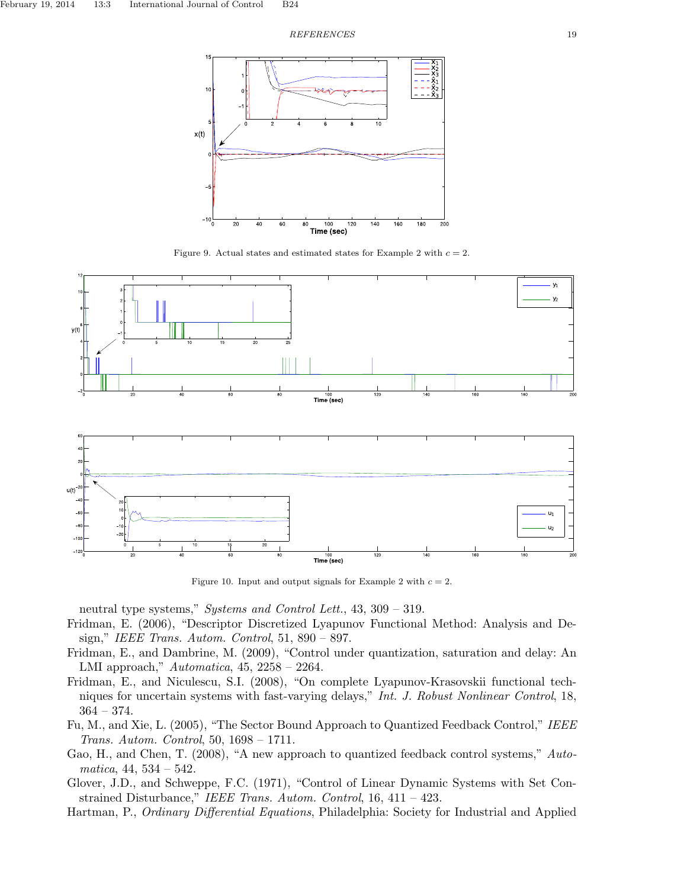#### $\begin{tabular}{c} \bf \textit{REFERENCES} \\ \bf \end{tabular}$



Figure 9. Actual states and estimated states for Example 2 with  $c = 2$ .



Figure 10. Input and output signals for Example 2 with  $c = 2$ .

neutral type systems," Systems and Control Lett., 43, 309 – 319.

- Fridman, E. (2006), "Descriptor Discretized Lyapunov Functional Method: Analysis and Design," IEEE Trans. Autom. Control, 51, 890 – 897.
- Fridman, E., and Dambrine, M. (2009), "Control under quantization, saturation and delay: An LMI approach," Automatica, 45, 2258 – 2264.
- Fridman, E., and Niculescu, S.I. (2008), "On complete Lyapunov-Krasovskii functional techniques for uncertain systems with fast-varying delays," Int. J. Robust Nonlinear Control, 18,  $364 - 374.$
- Fu, M., and Xie, L. (2005), "The Sector Bound Approach to Quantized Feedback Control," IEEE Trans. Autom. Control, 50, 1698 – 1711.
- Gao, H., and Chen, T. (2008), "A new approach to quantized feedback control systems," Auto $matica, 44, 534 - 542.$
- Glover, J.D., and Schweppe, F.C. (1971), "Control of Linear Dynamic Systems with Set Constrained Disturbance," IEEE Trans. Autom. Control, 16, 411 – 423.
- Hartman, P., Ordinary Differential Equations, Philadelphia: Society for Industrial and Applied